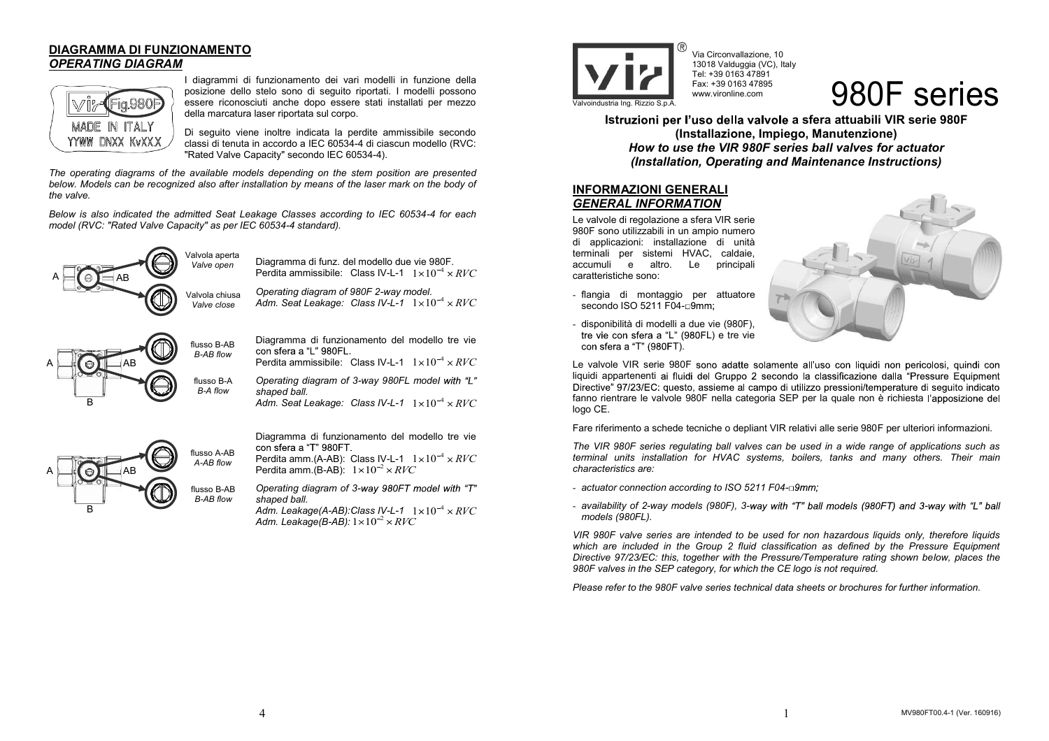## **DIAGRAMMA DI FUNZIONAMENTO** *OPERATING DIAGRAM*



I diagrammi di funzionamento dei vari modelli in funzione della posizione dello stelo sono di seguito riportati. I modelli possono essere riconosciuti anche dopo essere stati installati per mezzo della marcatura laser riportata sul corpo.

Di seguito viene inoltre indicata la perdite ammissibile secondo classi di tenuta in accordo a IEC 60534-4 di ciascun modello (RVC: "Rated Valve Capacity" secondo IEC 60534-4).

*The operating diagrams of the available models depending on the stem position are presented below. Models can be recognized also after installation by means of the laser mark on the body of the valve.* 

*Below is also indicated the admitted Seat Leakage Classes according to IEC 60534-4 for each model (RVC: "Rated Valve Capacity" as per IEC 60534-4 standard).* 



Diagramma di funz. del modello due vie 980F.

*Operating diagram of 980F 2-way model.*  Adm. Seat Leakage: Class IV-L-1  $1 \times 10^{-4} \times RVC$ 



Diagramma di funzionamento del modello tre vie

*Operating diagram of 3-way 980FL mode shaped ball.* 

 $A$ dm. Seat Leakage: Class IV-L-1  $1 \times 10^{-4} \times RVC$ 



Diagramma di funzionamento del modello tre vie

Perdita amm.(A-AB):  $\,$  Class IV-L-1  $\,$   $1 \times 10^{-4} \times RVC$ Perdita amm.(B-AB):  $1{\times}10^{-2}{\times}RVC$ 

*Operating diagram of 3 shaped ball.* 

*Adm. Leakage(A-AB):Class IV-L-1*  $\;$  1 $\times10^{-4}$   $\times$   $RVC$ *Adm. Leakage(B-AB):*  $1{\times}10^{-2}$   $\times$   $RVC$ 



Via Circonvallazione, 10 13018 Valduggia (VC), Italy Tel: +39 0163 47891 Fax: +39 0163 47895 www.vironline.com

# Valvoindustria Ing. Rizzio S.p.A. 980F series

**Istruzioni per l'uso della valvole a sfera attuabili VIR serie 980F (Installazione, Impiego, Manutenzione)**  *How to use the VIR 980F series ball valves for actuator (Installation, Operating and Maintenance Instructions)* 

## **INFORMAZIONI GENERALI** *GENERAL INFORMATION*

Le valvole di regolazione a sfera VIR serie 980F sono utilizzabili in un ampio numero di applicazioni: installazione di unità terminali per sistemi HVAC, caldaie, accumuli e altro. Le caratteristiche sono:

- flangia di montaggio per attuatore secondo ISO 5211 F04-n9mm:



- disponibilità di modelli a due vie (980F), tre vie con sfera a "L" (980FL) e tre vie con sfera a "T" (980FT).

Le valvole VIR serie 980F sono adatte solamente all'uso con liquidi non pericolosi, quindi con liquidi appartenenti ai fluidi del Gruppo 2 secondo la classificazione dalla "Pressure Equipment<br>Directive" 97/23/EC: questo, assieme al campo di utilizzo pressioni/temperature di sequito indicato fanno rientrare le valvole 980F nella categoria SEP per la quale non è richiesta l'apposizione del logo CE.

Fare riferimento a schede tecniche o depliant VIR relativi alle serie 980F per ulteriori informazioni.

*The VIR 980F series regulating ball valves can be used in a wide range of applications such as terminal units installation for HVAC systems, boilers, tanks and many others. Their main characteristics are:* 

- *actuator connection according to ISO 5211 F04-*
- *availability of 2-way models (980F), 3-way with "T" ball models (980FT) and 3-way with "L" ball models (980FL).*

*VIR 980F valve series are intended to be used for non hazardous liquids only, therefore liquids*  which are included in the Group 2 fluid classification as defined by the Pressure Equipment *Directive 97/23/EC: this, together with the Pressure/Temperature rating shown below, places the 980F valves in the SEP category, for which the CE logo is not required.* 

*Please refer to the 980F valve series technical data sheets or brochures for further information.*